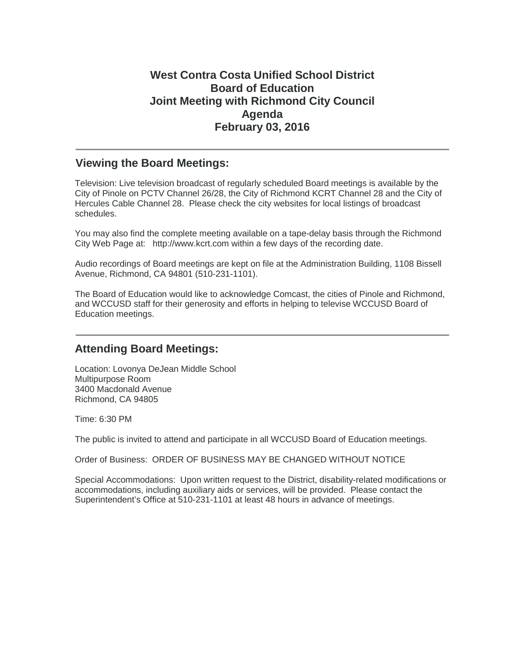# **West Contra Costa Unified School District Board of Education Joint Meeting with Richmond City Council Agenda February 03, 2016**

#### **Viewing the Board Meetings:**

Television: Live television broadcast of regularly scheduled Board meetings is available by the City of Pinole on PCTV Channel 26/28, the City of Richmond KCRT Channel 28 and the City of Hercules Cable Channel 28. Please check the city websites for local listings of broadcast schedules.

You may also find the complete meeting available on a tape-delay basis through the Richmond City Web Page at: http://www.kcrt.com within a few days of the recording date.

Audio recordings of Board meetings are kept on file at the Administration Building, 1108 Bissell Avenue, Richmond, CA 94801 (510-231-1101).

The Board of Education would like to acknowledge Comcast, the cities of Pinole and Richmond, and WCCUSD staff for their generosity and efforts in helping to televise WCCUSD Board of Education meetings.

## **Attending Board Meetings:**

Location: Lovonya DeJean Middle School Multipurpose Room 3400 Macdonald Avenue Richmond, CA 94805

Time: 6:30 PM

The public is invited to attend and participate in all WCCUSD Board of Education meetings.

Order of Business: ORDER OF BUSINESS MAY BE CHANGED WITHOUT NOTICE

Special Accommodations: Upon written request to the District, disability-related modifications or accommodations, including auxiliary aids or services, will be provided. Please contact the Superintendent's Office at 510-231-1101 at least 48 hours in advance of meetings.